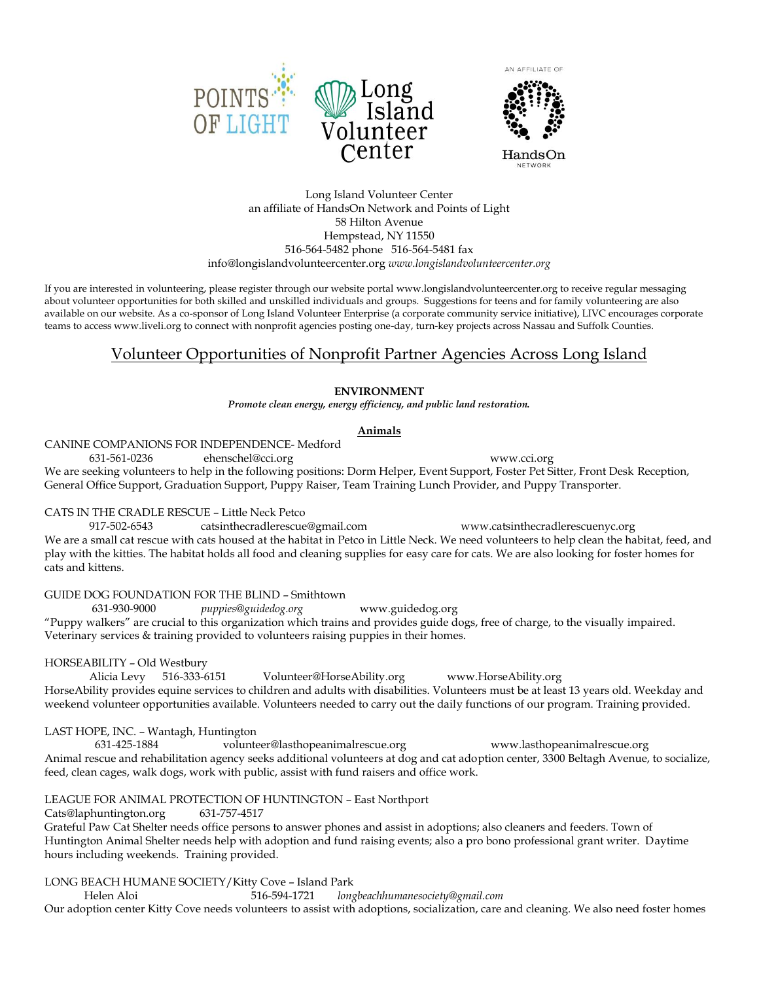





Long Island Volunteer Center an affiliate of HandsOn Network and Points of Light 58 Hilton Avenue Hempstead, NY 11550 516-564-5482 phone 516-564-5481 fax info@longislandvolunteercenter.org *www.longislandvolunteercenter.org*

If you are interested in volunteering, please register through our website portal www.longislandvolunteercenter.org to receive regular messaging about volunteer opportunities for both skilled and unskilled individuals and groups. Suggestions for teens and for family volunteering are also available on our website. As a co-sponsor of Long Island Volunteer Enterprise (a corporate community service initiative), LIVC encourages corporate teams to access www.liveli.org to connect with nonprofit agencies posting one-day, turn-key projects across Nassau and Suffolk Counties.

## Volunteer Opportunities of Nonprofit Partner Agencies Across Long Island

## **ENVIRONMENT**

*Promote clean energy, energy efficiency, and public land restoration.*

## **Animals**

CANINE COMPANIONS FOR INDEPENDENCE- Medford

631-561-0236 ehenschel@cci.org www.cci.org

We are seeking volunteers to help in the following positions: Dorm Helper, Event Support, Foster Pet Sitter, Front Desk Reception, General Office Support, Graduation Support, Puppy Raiser, Team Training Lunch Provider, and Puppy Transporter.

## CATS IN THE CRADLE RESCUE – Little Neck Petco

917-502-6543 catsinthecradlerescue@gmail.com www.catsinthecradlerescuenyc.org We are a small cat rescue with cats housed at the habitat in Petco in Little Neck. We need volunteers to help clean the habitat, feed, and play with the kitties. The habitat holds all food and cleaning supplies for easy care for cats. We are also looking for foster homes for cats and kittens.

GUIDE DOG FOUNDATION FOR THE BLIND – Smithtown

631-930-9000 *puppies@guidedog.org* www.guidedog.org

"Puppy walkers" are crucial to this organization which trains and provides guide dogs, free of charge, to the visually impaired. Veterinary services & training provided to volunteers raising puppies in their homes.

## HORSEABILITY – Old Westbury

Alicia Levy 516-333-6151 Volunteer@HorseAbility.org www.HorseAbility.org HorseAbility provides equine services to children and adults with disabilities. Volunteers must be at least 13 years old. Weekday and weekend volunteer opportunities available. Volunteers needed to carry out the daily functions of our program. Training provided.

## LAST HOPE, INC. – Wantagh, Huntington

 631-425-1884 volunteer@lasthopeanimalrescue.org www.lasthopeanimalrescue.org Animal rescue and rehabilitation agency seeks additional volunteers at dog and cat adoption center, 3300 Beltagh Avenue, to socialize, feed, clean cages, walk dogs, work with public, assist with fund raisers and office work.

## LEAGUE FOR ANIMAL PROTECTION OF HUNTINGTON – East Northport

Cats@laphuntington.org 631-757-4517

Grateful Paw Cat Shelter needs office persons to answer phones and assist in adoptions; also cleaners and feeders. Town of Huntington Animal Shelter needs help with adoption and fund raising events; also a pro bono professional grant writer. Daytime hours including weekends. Training provided.

## LONG BEACH HUMANE SOCIETY/Kitty Cove – Island Park

Helen Aloi 516-594-1721 *longbeachhumanesociety@gmail.com* 

Our adoption center Kitty Cove needs volunteers to assist with adoptions, socialization, care and cleaning. We also need foster homes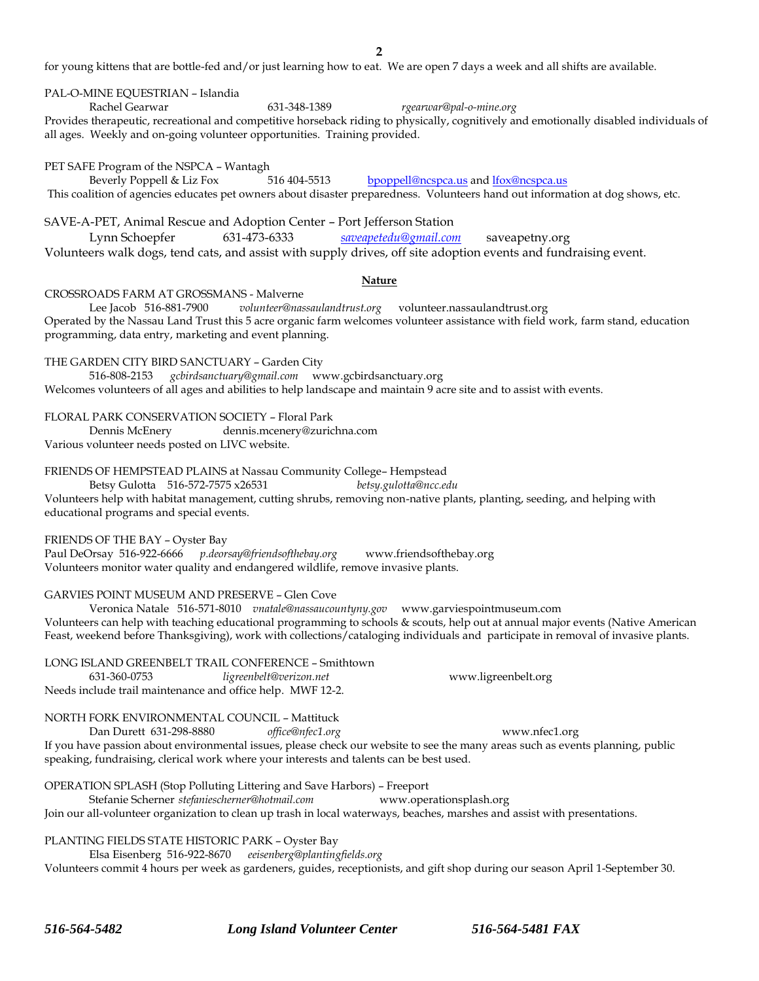for young kittens that are bottle-fed and/or just learning how to eat. We are open 7 days a week and all shifts are available.

#### PAL-O-MINE EQUESTRIAN – Islandia

Rachel Gearwar 631-348-1389 *rgearwar@pal-o-mine.org* Provides therapeutic, recreational and competitive horseback riding to physically, cognitively and emotionally disabled individuals of all ages. Weekly and on-going volunteer opportunities. Training provided.

#### PET SAFE Program of the NSPCA – Wantagh

Beverly Poppell & Liz Fox 516 404-5513 [bpoppell@ncspca.us](mailto:bpoppell@ncspca.us) and [lfox@ncspca.us](mailto:lfox@ncspca.us) This coalition of agencies educates pet owners about disaster preparedness. Volunteers hand out information at dog shows, etc.

SAVE-A-PET, Animal Rescue and Adoption Center – Port Jefferson Station

Lynn Schoepfer 631-473-6333 *[saveapetedu@gmail.com](mailto:saveapetedu@gmail.com)* saveapetny.org Volunteers walk dogs, tend cats, and assist with supply drives, off site adoption events and fundraising event.

#### **Nature**

#### CROSSROADS FARM AT GROSSMANS - Malverne

Lee Jacob 516-881-7900 *volunteer@nassaulandtrust.org* volunteer.nassaulandtrust.org Operated by the Nassau Land Trust this 5 acre organic farm welcomes volunteer assistance with field work, farm stand, education programming, data entry, marketing and event planning.

THE GARDEN CITY BIRD SANCTUARY – Garden City

516-808-2153 *gcbirdsanctuary@gmail.com* www.gcbirdsanctuary.org Welcomes volunteers of all ages and abilities to help landscape and maintain 9 acre site and to assist with events.

FLORAL PARK CONSERVATION SOCIETY – Floral Park

Dennis McEnery dennis.mcenery@zurichna.com Various volunteer needs posted on LIVC website.

FRIENDS OF HEMPSTEAD PLAINS at Nassau Community College– Hempstead

Betsy Gulotta 516-572-7575 x26531 *betsy.gulotta@ncc.edu* Volunteers help with habitat management, cutting shrubs, removing non-native plants, planting, seeding, and helping with educational programs and special events.

#### FRIENDS OF THE BAY – Oyster Bay

Paul DeOrsay 516-922-6666 *p.deorsay@friendsofthebay.org* www.friendsofthebay.org Volunteers monitor water quality and endangered wildlife, remove invasive plants.

GARVIES POINT MUSEUM AND PRESERVE – Glen Cove

Veronica Natale 516-571-8010 *vnatale@nassaucountyny.gov* www.garviespointmuseum.com Volunteers can help with teaching educational programming to schools & scouts, help out at annual major events (Native American Feast, weekend before Thanksgiving), work with collections/cataloging individuals and participate in removal of invasive plants.

|              | LONG ISLAND GREENBELT TRAIL CONFERENCE - Smithtown         |                     |
|--------------|------------------------------------------------------------|---------------------|
| 631-360-0753 | ligreenbelt@verizon.net                                    | www.ligreenbelt.org |
|              | Needs include trail maintenance and office help. MWF 12-2. |                     |

## NORTH FORK ENVIRONMENTAL COUNCIL – Mattituck

Dan Durett 631-298-8880 *office@nfec1.org* www.nfec1.org

If you have passion about environmental issues, please check our website to see the many areas such as events planning, public speaking, fundraising, clerical work where your interests and talents can be best used.

OPERATION SPLASH (Stop Polluting Littering and Save Harbors) – Freeport

Stefanie Scherner *stefaniescherner@hotmail.com* www.operationsplash.org Join our all-volunteer organization to clean up trash in local waterways, beaches, marshes and assist with presentations.

PLANTING FIELDS STATE HISTORIC PARK – Oyster Bay

Elsa Eisenberg 516-922-8670 *eeisenberg@plantingfields.org*

Volunteers commit 4 hours per week as gardeners, guides, receptionists, and gift shop during our season April 1-September 30.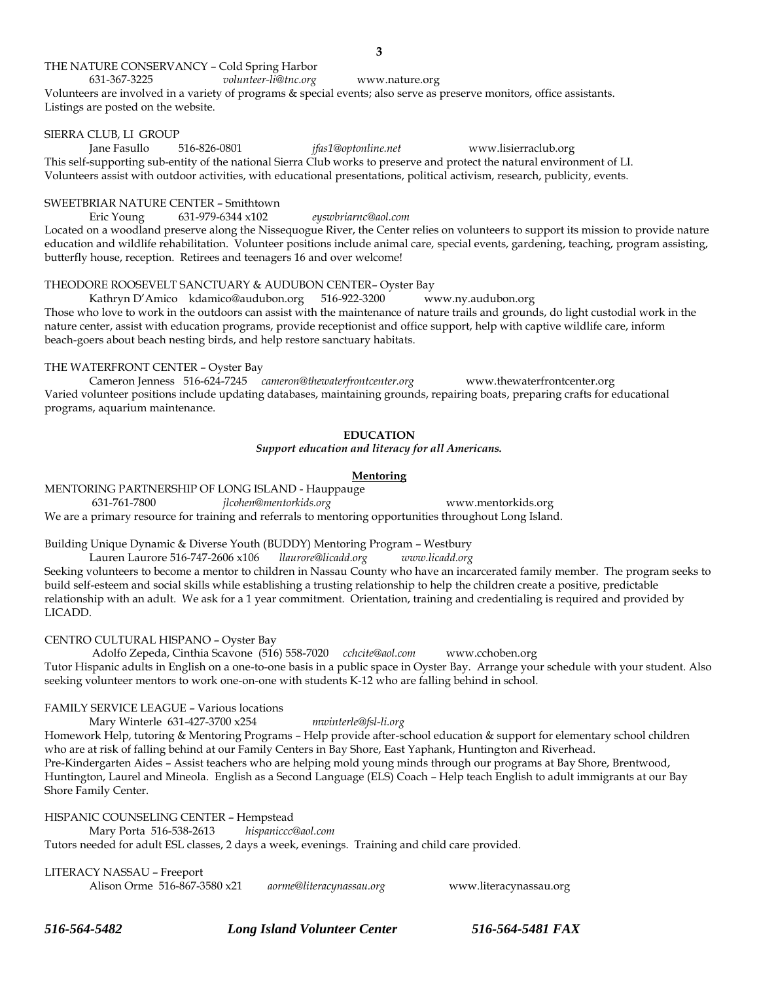### THE NATURE CONSERVANCY – Cold Spring Harbor

631-367-3225 *volunteer-li@tnc.org* www.nature.org Volunteers are involved in a variety of programs & special events; also serve as preserve monitors, office assistants. Listings are posted on the website.

#### SIERRA CLUB, LI GROUP

Jane Fasullo 516-826-0801 *jfas1@optonline.net* www.lisierraclub.org This self-supporting sub-entity of the national Sierra Club works to preserve and protect the natural environment of LI. Volunteers assist with outdoor activities, with educational presentations, political activism, research, publicity, events.

## SWEETBRIAR NATURE CENTER – Smithtown

Eric Young 631-979-6344 x102 *eyswbriarnc@aol.com*

Located on a woodland preserve along the Nissequogue River, the Center relies on volunteers to support its mission to provide nature education and wildlife rehabilitation. Volunteer positions include animal care, special events, gardening, teaching, program assisting, butterfly house, reception. Retirees and teenagers 16 and over welcome!

#### THEODORE ROOSEVELT SANCTUARY & AUDUBON CENTER– Oyster Bay

Kathryn D'Amico kdamico@audubon.org 516-922-3200 www.ny.audubon.org Those who love to work in the outdoors can assist with the maintenance of nature trails and grounds, do light custodial work in the nature center, assist with education programs, provide receptionist and office support, help with captive wildlife care, inform beach-goers about beach nesting birds, and help restore sanctuary habitats.

#### THE WATERFRONT CENTER – Oyster Bay

Cameron Jenness 516-624-7245 *cameron@thewaterfrontcenter.org* www.thewaterfrontcenter.org Varied volunteer positions include updating databases, maintaining grounds, repairing boats, preparing crafts for educational programs, aquarium maintenance.

#### **EDUCATION**

*Support education and literacy for all Americans.*

#### **Mentoring**

MENTORING PARTNERSHIP OF LONG ISLAND - Hauppauge 631-761-7800 *jlcohen@mentorkids.org* www.mentorkids.org We are a primary resource for training and referrals to mentoring opportunities throughout Long Island.

Building Unique Dynamic & Diverse Youth (BUDDY) Mentoring Program – Westbury

Lauren Laurore 516-747-2606 x106 *llaurore@licadd.org www.licadd.org* Seeking volunteers to become a mentor to children in Nassau County who have an incarcerated family member. The program seeks to build self-esteem and social skills while establishing a trusting relationship to help the children create a positive, predictable relationship with an adult. We ask for a 1 year commitment. Orientation, training and credentialing is required and provided by LICADD.

CENTRO CULTURAL HISPANO – Oyster Bay

Adolfo Zepeda, Cinthia Scavone (516) 558-7020 *cchcite@aol.com* www.cchoben.org Tutor Hispanic adults in English on a one-to-one basis in a public space in Oyster Bay. Arrange your schedule with your student. Also seeking volunteer mentors to work one-on-one with students K-12 who are falling behind in school.

FAMILY SERVICE LEAGUE – Various locations

Mary Winterle 631-427-3700 x254 *mwinterle@fsl-li.org*

Homework Help, tutoring & Mentoring Programs – Help provide after-school education & support for elementary school children who are at risk of falling behind at our Family Centers in Bay Shore, East Yaphank, Huntington and Riverhead. Pre-Kindergarten Aides – Assist teachers who are helping mold young minds through our programs at Bay Shore, Brentwood, Huntington, Laurel and Mineola. English as a Second Language (ELS) Coach – Help teach English to adult immigrants at our Bay Shore Family Center.

HISPANIC COUNSELING CENTER – Hempstead

Mary Porta 516-538-2613 *hispaniccc@aol.com*

Tutors needed for adult ESL classes, 2 days a week, evenings. Training and child care provided.

LITERACY NASSAU – Freeport

Alison Orme 516-867-3580 x21 *aorme@literacynassau.org* www.literacynassau.org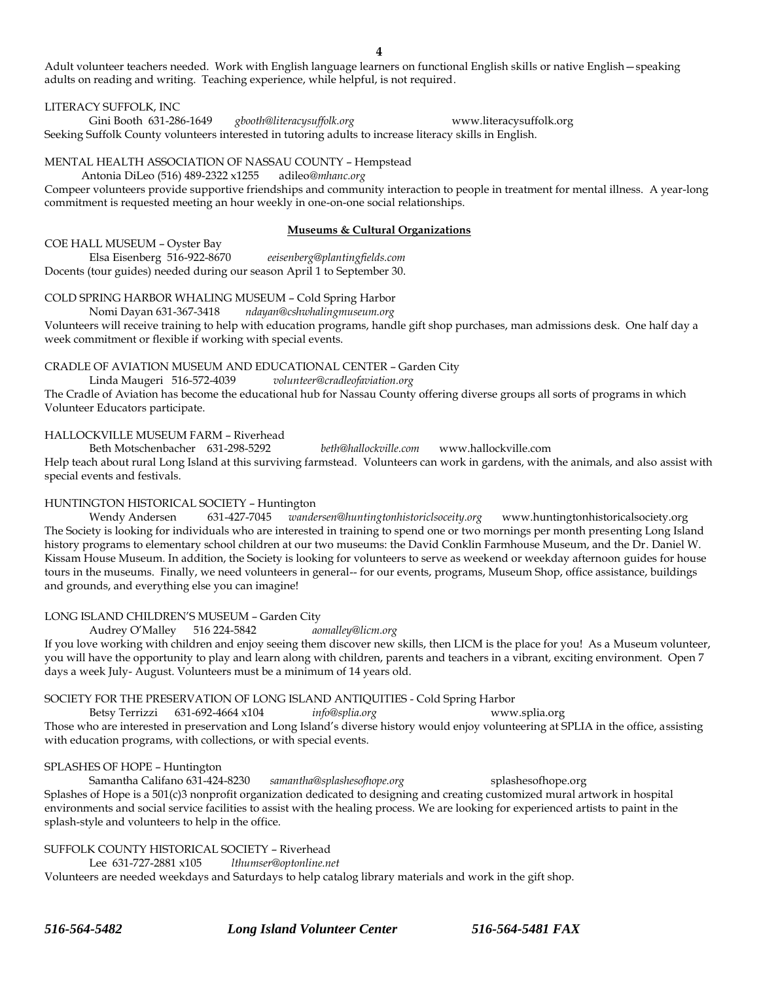Adult volunteer teachers needed. Work with English language learners on functional English skills or native English—speaking adults on reading and writing. Teaching experience, while helpful, is not required.

#### LITERACY SUFFOLK, INC

Gini Booth 631-286-1649 *gbooth@literacysuffolk.org* www.literacysuffolk.org Seeking Suffolk County volunteers interested in tutoring adults to increase literacy skills in English.

MENTAL HEALTH ASSOCIATION OF NASSAU COUNTY – Hempstead

Antonia DiLeo (516) 489-2322 x1255 adileo*@mhanc.org*

Compeer volunteers provide supportive friendships and community interaction to people in treatment for mental illness. A year-long commitment is requested meeting an hour weekly in one-on-one social relationships.

#### **Museums & Cultural Organizations**

COE HALL MUSEUM – Oyster Bay Elsa Eisenberg 516-922-8670 *eeisenberg@plantingfields.com*

Docents (tour guides) needed during our season April 1 to September 30.

## COLD SPRING HARBOR WHALING MUSEUM – Cold Spring Harbor

Nomi Dayan 631-367-3418 *ndayan@cshwhalingmuseum.org* Volunteers will receive training to help with education programs, handle gift shop purchases, man admissions desk. One half day a week commitment or flexible if working with special events.

## CRADLE OF AVIATION MUSEUM AND EDUCATIONAL CENTER – Garden City

Linda Maugeri 516-572-4039 *volunteer@cradleofaviation.org*

The Cradle of Aviation has become the educational hub for Nassau County offering diverse groups all sorts of programs in which Volunteer Educators participate.

## HALLOCKVILLE MUSEUM FARM – Riverhead

Beth Motschenbacher 631-298-5292 *beth@hallockville.com* www.hallockville.com

Help teach about rural Long Island at this surviving farmstead. Volunteers can work in gardens, with the animals, and also assist with special events and festivals.

## HUNTINGTON HISTORICAL SOCIETY – Huntington

Wendy Andersen 631-427-7045 *wandersen@huntingtonhistoriclsoceity.org* www.huntingtonhistoricalsociety.org The Society is looking for individuals who are interested in training to spend one or two mornings per month presenting Long Island history programs to elementary school children at our two museums: the David Conklin Farmhouse Museum, and the Dr. Daniel W. Kissam House Museum. In addition, the Society is looking for volunteers to serve as weekend or weekday afternoon guides for house tours in the museums. Finally, we need volunteers in general-- for our events, programs, Museum Shop, office assistance, buildings and grounds, and everything else you can imagine!

## LONG ISLAND CHILDREN'S MUSEUM – Garden City

Audrey O'Malley 516 224-5842 *aomalley@licm.org*

If you love working with children and enjoy seeing them discover new skills, then LICM is the place for you! As a Museum volunteer, you will have the opportunity to play and learn along with children, parents and teachers in a vibrant, exciting environment. Open 7 days a week July- August. Volunteers must be a minimum of 14 years old.

## SOCIETY FOR THE PRESERVATION OF LONG ISLAND ANTIQUITIES - Cold Spring Harbor

Betsy Terrizzi 631-692-4664 x104 *info@splia.org* www.splia.org Those who are interested in preservation and Long Island's diverse history would enjoy volunteering at SPLIA in the office, assisting with education programs, with collections, or with special events.

#### SPLASHES OF HOPE – Huntington

Samantha Califano 631-424-8230 *samantha@splashesofhope.org* splashesofhope.org Splashes of Hope is a 501(c)3 nonprofit organization dedicated to designing and creating customized mural artwork in hospital environments and social service facilities to assist with the healing process. We are looking for experienced artists to paint in the splash-style and volunteers to help in the office.

## SUFFOLK COUNTY HISTORICAL SOCIETY – Riverhead

Lee 631-727-2881 x105 *lthumser@optonline.net*

Volunteers are needed weekdays and Saturdays to help catalog library materials and work in the gift shop.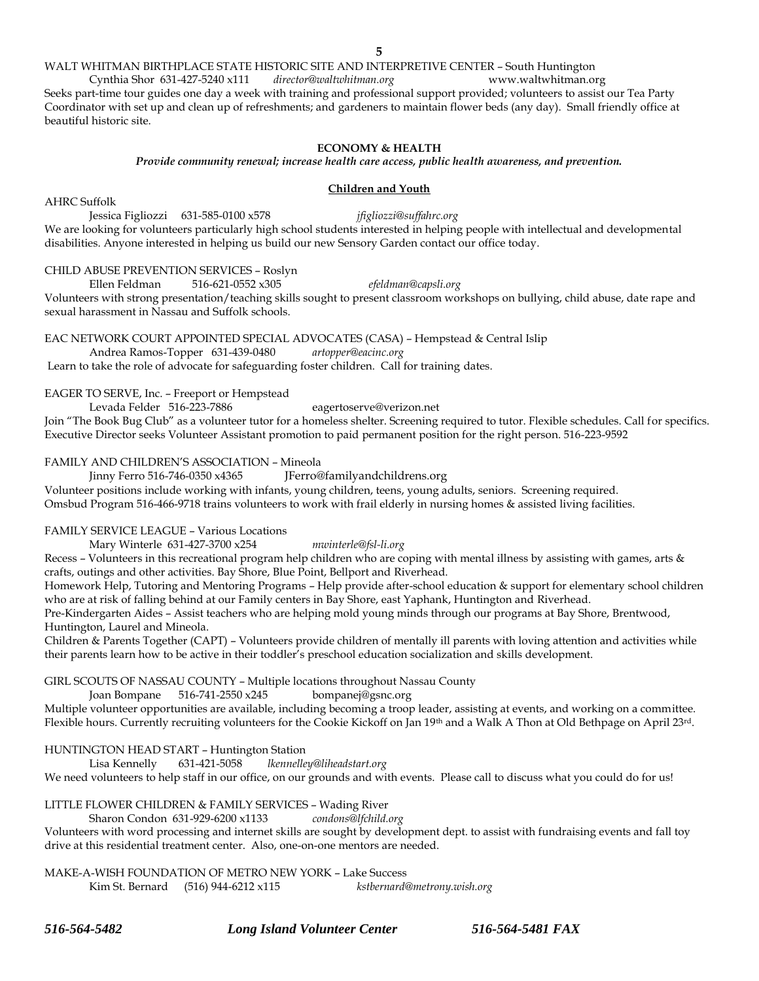#### WALT WHITMAN BIRTHPLACE STATE HISTORIC SITE AND INTERPRETIVE CENTER – South Huntington

Cynthia Shor 631-427-5240 x111 *director@waltwhitman.org* www.waltwhitman.org Seeks part-time tour guides one day a week with training and professional support provided; volunteers to assist our Tea Party Coordinator with set up and clean up of refreshments; and gardeners to maintain flower beds (any day). Small friendly office at beautiful historic site.

#### **ECONOMY & HEALTH**

#### *Provide community renewal; increase health care access, public health awareness, and prevention.*

#### **Children and Youth**

AHRC Suffolk Jessica Figliozzi 631-585-0100 x578 *jfigliozzi@suffahrc.org* We are looking for volunteers particularly high school students interested in helping people with intellectual and developmental disabilities. Anyone interested in helping us build our new Sensory Garden contact our office today.

#### CHILD ABUSE PREVENTION SERVICES – Roslyn

Ellen Feldman 516-621-0552 x305 *efeldman@capsli.org* Volunteers with strong presentation/teaching skills sought to present classroom workshops on bullying, child abuse, date rape and sexual harassment in Nassau and Suffolk schools.

EAC NETWORK COURT APPOINTED SPECIAL ADVOCATES (CASA) – Hempstead & Central Islip

Andrea Ramos-Topper 631-439-0480 *artopper@eacinc.org* Learn to take the role of advocate for safeguarding foster children. Call for training dates.

EAGER TO SERVE, Inc. – Freeport or Hempstead

Levada Felder 516-223-7886 eagertoserve@verizon.net

Join "The Book Bug Club" as a volunteer tutor for a homeless shelter. Screening required to tutor. Flexible schedules. Call for specifics. Executive Director seeks Volunteer Assistant promotion to paid permanent position for the right person. 516-223-9592

#### FAMILY AND CHILDREN'S ASSOCIATION – Mineola

Jinny Ferro 516-746-0350 x4365 JFerro@familyandchildrens.org

Volunteer positions include working with infants, young children, teens, young adults, seniors. Screening required. Omsbud Program 516-466-9718 trains volunteers to work with frail elderly in nursing homes & assisted living facilities.

FAMILY SERVICE LEAGUE – Various Locations

Mary Winterle 631-427-3700 x254 *mwinterle@fsl-li.org*

Recess – Volunteers in this recreational program help children who are coping with mental illness by assisting with games, arts & crafts, outings and other activities. Bay Shore, Blue Point, Bellport and Riverhead.

Homework Help, Tutoring and Mentoring Programs – Help provide after-school education & support for elementary school children who are at risk of falling behind at our Family centers in Bay Shore, east Yaphank, Huntington and Riverhead.

Pre-Kindergarten Aides – Assist teachers who are helping mold young minds through our programs at Bay Shore, Brentwood, Huntington, Laurel and Mineola.

Children & Parents Together (CAPT) – Volunteers provide children of mentally ill parents with loving attention and activities while their parents learn how to be active in their toddler's preschool education socialization and skills development.

#### GIRL SCOUTS OF NASSAU COUNTY – Multiple locations throughout Nassau County

Joan Bompane 516-741-2550 x245 bompanej@gsnc.org

Multiple volunteer opportunities are available, including becoming a troop leader, assisting at events, and working on a committee. Flexible hours. Currently recruiting volunteers for the Cookie Kickoff on Jan 19<sup>th</sup> and a Walk A Thon at Old Bethpage on April 23<sup>rd</sup>.

# HUNTINGTON HEAD START – Huntington Station

Lisa Kennelly 631-421-5058 *lkennelley@liheadstart.org*

We need volunteers to help staff in our office, on our grounds and with events. Please call to discuss what you could do for us!

#### LITTLE FLOWER CHILDREN & FAMILY SERVICES – Wading River

Sharon Condon 631-929-6200 x1133 *condons@lfchild.org*

Volunteers with word processing and internet skills are sought by development dept. to assist with fundraising events and fall toy drive at this residential treatment center. Also, one-on-one mentors are needed.

## MAKE-A-WISH FOUNDATION OF METRO NEW YORK – Lake Success

Kim St. Bernard (516) 944-6212 x115 *kstbernard@metrony.wish.org*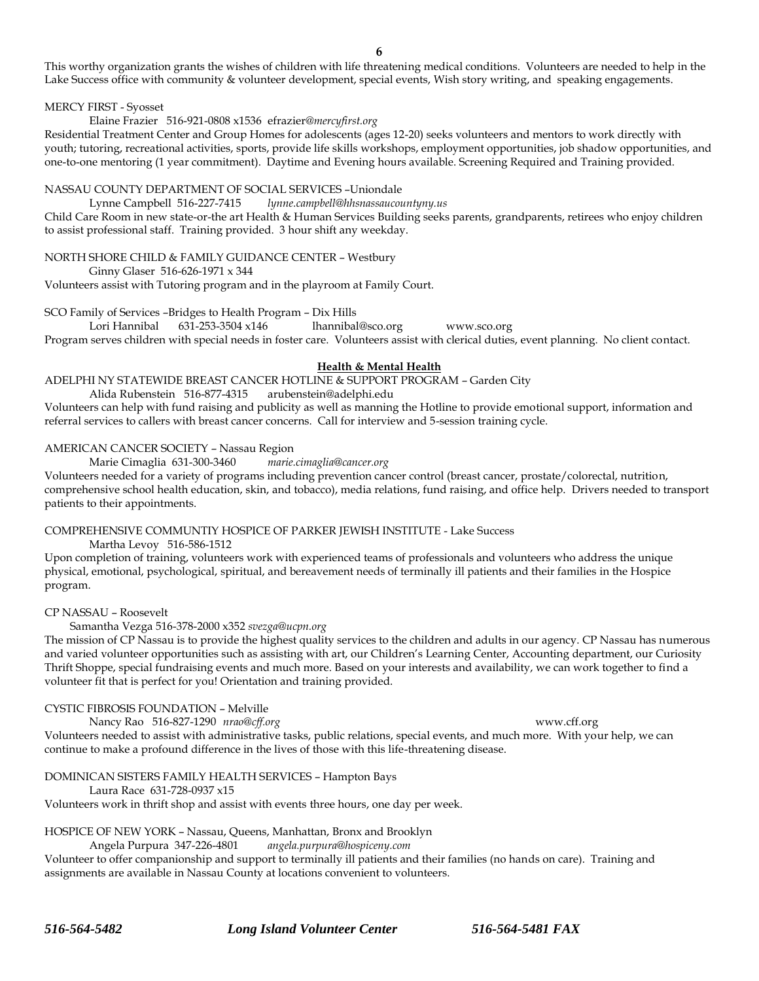This worthy organization grants the wishes of children with life threatening medical conditions. Volunteers are needed to help in the Lake Success office with community & volunteer development, special events, Wish story writing, and speaking engagements.

#### MERCY FIRST - Syosset

Elaine Frazier 516-921-0808 x1536 efrazier*@mercyfirst.org*

Residential Treatment Center and Group Homes for adolescents (ages 12-20) seeks volunteers and mentors to work directly with youth; tutoring, recreational activities, sports, provide life skills workshops, employment opportunities, job shadow opportunities, and one-to-one mentoring (1 year commitment). Daytime and Evening hours available. Screening Required and Training provided.

#### NASSAU COUNTY DEPARTMENT OF SOCIAL SERVICES –Uniondale

Lynne Campbell 516-227-7415 *lynne.campbell@hhsnassaucountyny.us*

Child Care Room in new state-or-the art Health & Human Services Building seeks parents, grandparents, retirees who enjoy children to assist professional staff. Training provided. 3 hour shift any weekday.

NORTH SHORE CHILD & FAMILY GUIDANCE CENTER – Westbury

Ginny Glaser 516-626-1971 x 344

Volunteers assist with Tutoring program and in the playroom at Family Court.

SCO Family of Services –Bridges to Health Program – Dix Hills

Lori Hannibal 631-253-3504 x146 lhannibal@sco.org www.sco.org

Program serves children with special needs in foster care. Volunteers assist with clerical duties, event planning. No client contact.

### **Health & Mental Health**

ADELPHI NY STATEWIDE BREAST CANCER HOTLINE & SUPPORT PROGRAM – Garden City

Alida Rubenstein 516-877-4315 arubenstein@adelphi.edu

Volunteers can help with fund raising and publicity as well as manning the Hotline to provide emotional support, information and referral services to callers with breast cancer concerns. Call for interview and 5-session training cycle.

## AMERICAN CANCER SOCIETY – Nassau Region

Marie Cimaglia 631-300-3460 *marie.cimaglia@cancer.org*

Volunteers needed for a variety of programs including prevention cancer control (breast cancer, prostate/colorectal, nutrition, comprehensive school health education, skin, and tobacco), media relations, fund raising, and office help. Drivers needed to transport patients to their appointments.

## COMPREHENSIVE COMMUNTIY HOSPICE OF PARKER JEWISH INSTITUTE - Lake Success

Martha Levoy 516-586-1512

Upon completion of training, volunteers work with experienced teams of professionals and volunteers who address the unique physical, emotional, psychological, spiritual, and bereavement needs of terminally ill patients and their families in the Hospice program.

CP NASSAU – Roosevelt

Samantha Vezga 516-378-2000 x352 *svezga@ucpn.org*

The mission of CP Nassau is to provide the highest quality services to the children and adults in our agency. CP Nassau has numerous and varied volunteer opportunities such as assisting with art, our Children's Learning Center, Accounting department, our Curiosity Thrift Shoppe, special fundraising events and much more. Based on your interests and availability, we can work together to find a volunteer fit that is perfect for you! Orientation and training provided.

## CYSTIC FIBROSIS FOUNDATION – Melville

Nancy Rao 516-827-1290 *nrao@cff.org* www.cff.org Volunteers needed to assist with administrative tasks, public relations, special events, and much more. With your help, we can continue to make a profound difference in the lives of those with this life-threatening disease.

DOMINICAN SISTERS FAMILY HEALTH SERVICES – Hampton Bays

Laura Race 631-728-0937 x15

Volunteers work in thrift shop and assist with events three hours, one day per week.

## HOSPICE OF NEW YORK – Nassau, Queens, Manhattan, Bronx and Brooklyn

Angela Purpura 347-226-4801 *angela.purpura@hospiceny.com*

Volunteer to offer companionship and support to terminally ill patients and their families (no hands on care). Training and assignments are available in Nassau County at locations convenient to volunteers.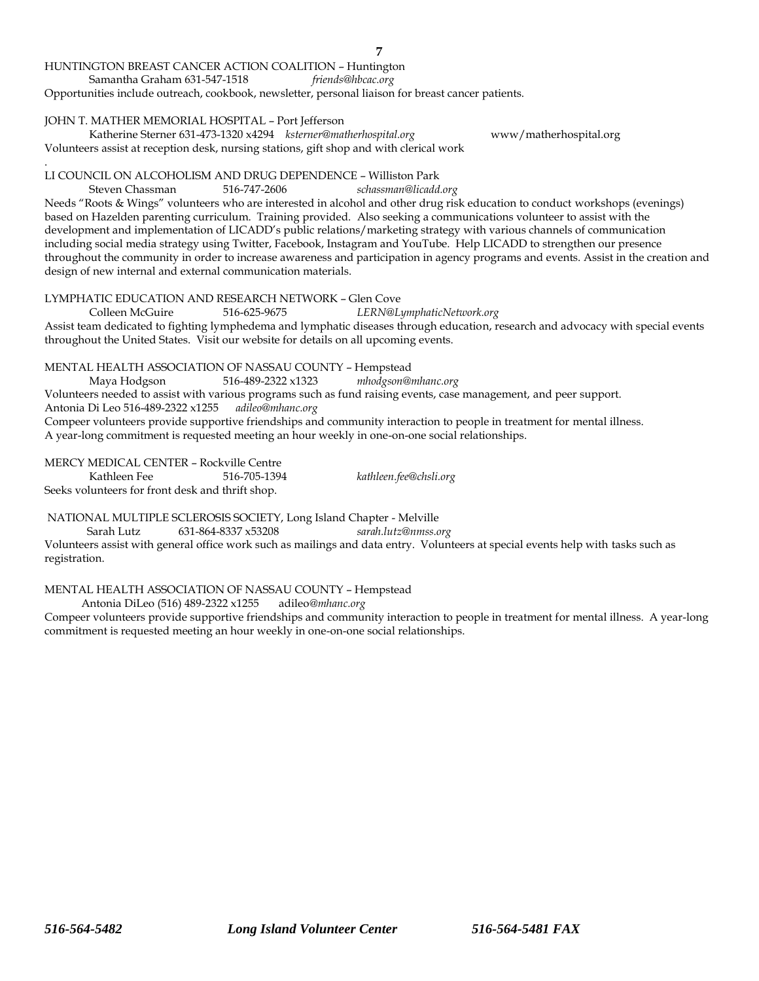### HUNTINGTON BREAST CANCER ACTION COALITION – Huntington

Samantha Graham 631-547-1518 *friends@hbcac.org*

Opportunities include outreach, cookbook, newsletter, personal liaison for breast cancer patients.

#### JOHN T. MATHER MEMORIAL HOSPITAL – Port Jefferson

Katherine Sterner 631-473-1320 x4294 *ksterner@matherhospital.org* www/matherhospital.org Volunteers assist at reception desk, nursing stations, gift shop and with clerical work

#### . LI COUNCIL ON ALCOHOLISM AND DRUG DEPENDENCE – Williston Park

Steven Chassman 516-747-2606 *schassman@licadd.org*

Needs "Roots & Wings" volunteers who are interested in alcohol and other drug risk education to conduct workshops (evenings) based on Hazelden parenting curriculum. Training provided. Also seeking a communications volunteer to assist with the development and implementation of LICADD's public relations/marketing strategy with various channels of communication including social media strategy using Twitter, Facebook, Instagram and YouTube. Help LICADD to strengthen our presence throughout the community in order to increase awareness and participation in agency programs and events. Assist in the creation and design of new internal and external communication materials.

**7**

LYMPHATIC EDUCATION AND RESEARCH NETWORK – Glen Cove

Colleen McGuire 516-625-9675 *LERN@LymphaticNetwork.org*

Assist team dedicated to fighting lymphedema and lymphatic diseases through education, research and advocacy with special events throughout the United States. Visit our website for details on all upcoming events.

## MENTAL HEALTH ASSOCIATION OF NASSAU COUNTY – Hempstead

Maya Hodgson 516-489-2322 x1323 *mhodgson@mhanc.org*

Volunteers needed to assist with various programs such as fund raising events, case management, and peer support.

Antonia Di Leo 516-489-2322 x1255 *adileo@mhanc.org*

Compeer volunteers provide supportive friendships and community interaction to people in treatment for mental illness. A year-long commitment is requested meeting an hour weekly in one-on-one social relationships.

MERCY MEDICAL CENTER – Rockville Centre<br>Kathleen Fee 516-705-1394 Kathleen Fee 516-705-1394 *kathleen.fee@chsli.org*

Seeks volunteers for front desk and thrift shop.

NATIONAL MULTIPLE SCLEROSIS SOCIETY, Long Island Chapter - Melville

Sarah Lutz 631-864-8337 x53208 *sarah.lutz@nmss.org*

Volunteers assist with general office work such as mailings and data entry. Volunteers at special events help with tasks such as registration.

## MENTAL HEALTH ASSOCIATION OF NASSAU COUNTY – Hempstead

Antonia DiLeo (516) 489-2322 x1255 adileo*@mhanc.org*

Compeer volunteers provide supportive friendships and community interaction to people in treatment for mental illness. A year-long commitment is requested meeting an hour weekly in one-on-one social relationships.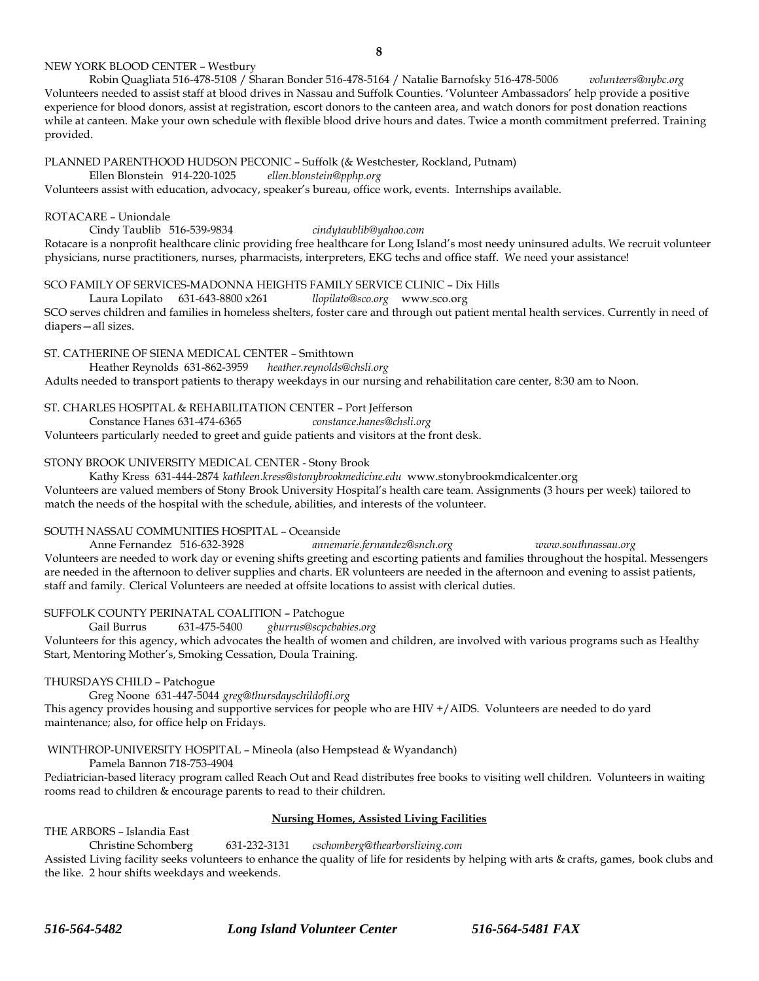#### NEW YORK BLOOD CENTER – Westbury

Robin Quagliata 516-478-5108 / Sharan Bonder 516-478-5164 / Natalie Barnofsky 516-478-5006 *volunteers@nybc.org* Volunteers needed to assist staff at blood drives in Nassau and Suffolk Counties. 'Volunteer Ambassadors' help provide a positive experience for blood donors, assist at registration, escort donors to the canteen area, and watch donors for post donation reactions while at canteen. Make your own schedule with flexible blood drive hours and dates. Twice a month commitment preferred. Training provided.

#### PLANNED PARENTHOOD HUDSON PECONIC – Suffolk (& Westchester, Rockland, Putnam)

Ellen Blonstein 914-220-1025 *ellen.blonstein@pphp.org*

Volunteers assist with education, advocacy, speaker's bureau, office work, events. Internships available.

#### ROTACARE – Uniondale

Cindy Taublib 516-539-9834 *cindytaublib@yahoo.com*

Rotacare is a nonprofit healthcare clinic providing free healthcare for Long Island's most needy uninsured adults. We recruit volunteer physicians, nurse practitioners, nurses, pharmacists, interpreters, EKG techs and office staff. We need your assistance!

#### SCO FAMILY OF SERVICES-MADONNA HEIGHTS FAMILY SERVICE CLINIC – Dix Hills

Laura Lopilato 631-643-8800 x261 *llopilato@sco.org* www.sco.org

SCO serves children and families in homeless shelters, foster care and through out patient mental health services. Currently in need of diapers—all sizes.

#### ST. CATHERINE OF SIENA MEDICAL CENTER – Smithtown

Heather Reynolds 631-862-3959 *heather.reynolds@chsli.org*

Adults needed to transport patients to therapy weekdays in our nursing and rehabilitation care center, 8:30 am to Noon.

## ST. CHARLES HOSPITAL & REHABILITATION CENTER – Port Jefferson

Constance Hanes 631-474-6365 *constance.hanes@chsli.org*

Volunteers particularly needed to greet and guide patients and visitors at the front desk.

## STONY BROOK UNIVERSITY MEDICAL CENTER - Stony Brook

Kathy Kress 631-444-2874 *kathleen.kress@stonybrookmedicine.edu* www.stonybrookmdicalcenter.org

Volunteers are valued members of Stony Brook University Hospital's health care team. Assignments (3 hours per week) tailored to match the needs of the hospital with the schedule, abilities, and interests of the volunteer.

## SOUTH NASSAU COMMUNITIES HOSPITAL – Oceanside

Anne Fernandez 516-632-3928 *annemarie.fernandez@snch.org www.southnassau.org* Volunteers are needed to work day or evening shifts greeting and escorting patients and families throughout the hospital. Messengers are needed in the afternoon to deliver supplies and charts. ER volunteers are needed in the afternoon and evening to assist patients, staff and family. Clerical Volunteers are needed at offsite locations to assist with clerical duties.

## SUFFOLK COUNTY PERINATAL COALITION – Patchogue

Gail Burrus 631-475-5400 *gburrus@scpcbabies.org* Volunteers for this agency, which advocates the health of women and children, are involved with various programs such as Healthy Start, Mentoring Mother's, Smoking Cessation, Doula Training.

#### THURSDAYS CHILD – Patchogue

Greg Noone 631-447-5044 *greg@thursdayschildofli.org*

This agency provides housing and supportive services for people who are HIV +/AIDS. Volunteers are needed to do yard maintenance; also, for office help on Fridays.

## WINTHROP-UNIVERSITY HOSPITAL – Mineola (also Hempstead & Wyandanch)

Pamela Bannon 718-753-4904

Pediatrician-based literacy program called Reach Out and Read distributes free books to visiting well children. Volunteers in waiting rooms read to children & encourage parents to read to their children.

#### **Nursing Homes, Assisted Living Facilities**

THE ARBORS – Islandia East

Christine Schomberg 631-232-3131 *cschomberg@thearborsliving.com*

Assisted Living facility seeks volunteers to enhance the quality of life for residents by helping with arts & crafts, games, book clubs and the like. 2 hour shifts weekdays and weekends.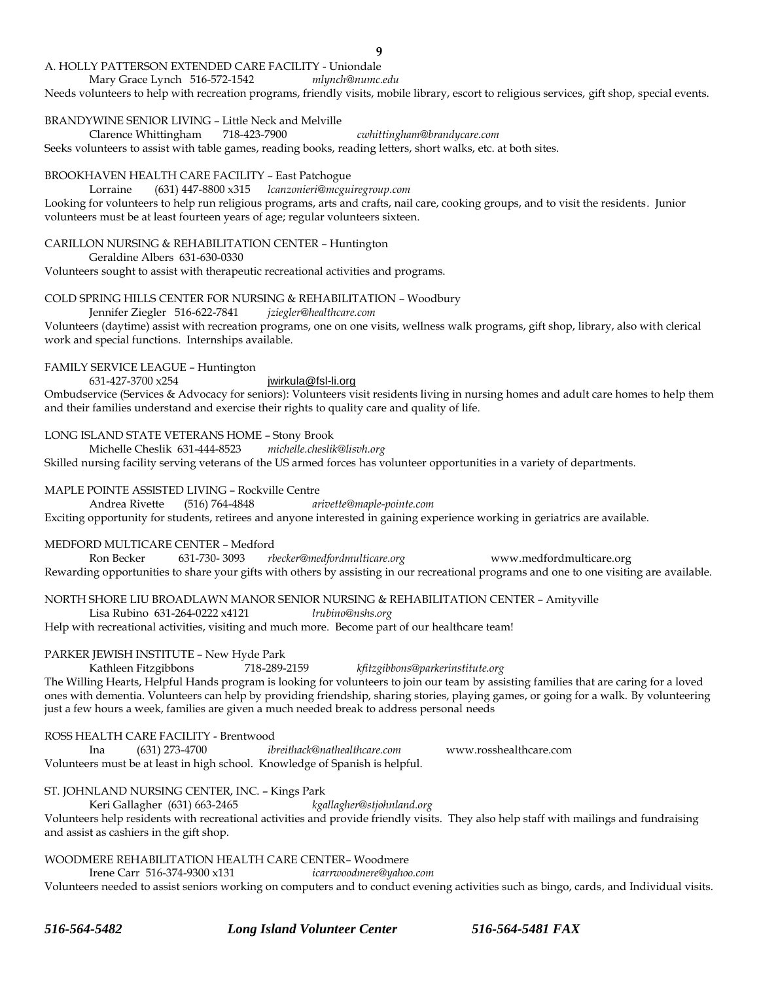#### A. HOLLY PATTERSON EXTENDED CARE FACILITY - Uniondale

Mary Grace Lynch 516-572-1542 *mlynch@numc.edu*

Needs volunteers to help with recreation programs, friendly visits, mobile library, escort to religious services, gift shop, special events.

BRANDYWINE SENIOR LIVING – Little Neck and Melville

Clarence Whittingham 718-423-7900 *cwhittingham@brandycare.com*

Seeks volunteers to assist with table games, reading books, reading letters, short walks, etc. at both sites.

#### BROOKHAVEN HEALTH CARE FACILITY – East Patchogue

Lorraine (631) 447-8800 x315 *lcanzonieri@mcguiregroup.com* Looking for volunteers to help run religious programs, arts and crafts, nail care, cooking groups, and to visit the residents. Junior volunteers must be at least fourteen years of age; regular volunteers sixteen.

#### CARILLON NURSING & REHABILITATION CENTER – Huntington

Geraldine Albers 631-630-0330

Volunteers sought to assist with therapeutic recreational activities and programs.

#### COLD SPRING HILLS CENTER FOR NURSING & REHABILITATION – Woodbury

#### Jennifer Ziegler 516-622-7841 *jziegler@healthcare.com*

Volunteers (daytime) assist with recreation programs, one on one visits, wellness walk programs, gift shop, library, also with clerical work and special functions. Internships available.

#### FAMILY SERVICE LEAGUE – Huntington

631-427-3700 x254 [jwirkula@fsl-li.org](mailto:mwinterle@fsl-li.org)

Ombudservice (Services & Advocacy for seniors): Volunteers visit residents living in nursing homes and adult care homes to help them and their families understand and exercise their rights to quality care and quality of life.

#### LONG ISLAND STATE VETERANS HOME – Stony Brook

Michelle Cheslik 631-444-8523 *michelle.cheslik@lisvh.org* Skilled nursing facility serving veterans of the US armed forces has volunteer opportunities in a variety of departments.

#### MAPLE POINTE ASSISTED LIVING – Rockville Centre

Andrea Rivette (516) 764-4848 *arivette@maple-pointe.com*

Exciting opportunity for students, retirees and anyone interested in gaining experience working in geriatrics are available.

#### MEDFORD MULTICARE CENTER – Medford

Ron Becker 631-730- 3093 *rbecker@medfordmulticare.org* www.medfordmulticare.org Rewarding opportunities to share your gifts with others by assisting in our recreational programs and one to one visiting are available.

NORTH SHORE LIU BROADLAWN MANOR SENIOR NURSING & REHABILITATION CENTER – Amityville Lisa Rubino 631-264-0222 x4121 *lrubino@nshs.org*

Help with recreational activities, visiting and much more. Become part of our healthcare team!

## PARKER JEWISH INSTITUTE – New Hyde Park

Kathleen Fitzgibbons 718-289-2159 *kfitzgibbons@parkerinstitute.org*

The Willing Hearts, Helpful Hands program is looking for volunteers to join our team by assisting families that are caring for a loved ones with dementia. Volunteers can help by providing friendship, sharing stories, playing games, or going for a walk. By volunteering just a few hours a week, families are given a much needed break to address personal needs

#### ROSS HEALTH CARE FACILITY - Brentwood

Ina (631) 273-4700 *ibreithack@nathealthcare.com* www.rosshealthcare.com Volunteers must be at least in high school. Knowledge of Spanish is helpful.

ST. JOHNLAND NURSING CENTER, INC. – Kings Park

Keri Gallagher (631) 663-2465 *kgallagher@stjohnland.org* Volunteers help residents with recreational activities and provide friendly visits. They also help staff with mailings and fundraising and assist as cashiers in the gift shop.

## WOODMERE REHABILITATION HEALTH CARE CENTER– Woodmere

Irene Carr 516-374-9300 x131 *icarrwoodmere@yahoo.com*

Volunteers needed to assist seniors working on computers and to conduct evening activities such as bingo, cards, and Individual visits.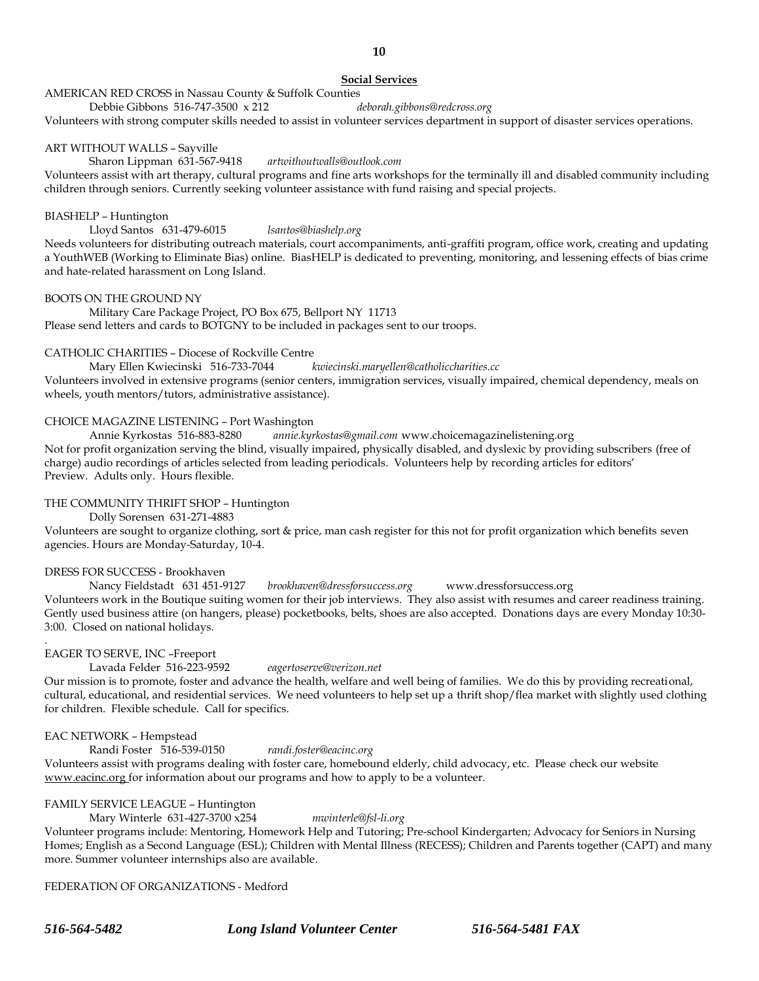## **Social Services**

**10**

#### AMERICAN RED CROSS in Nassau County & Suffolk Counties

Debbie Gibbons 516-747-3500 x 212 *deborah.gibbons@redcross.org*

Volunteers with strong computer skills needed to assist in volunteer services department in support of disaster services operations.

#### ART WITHOUT WALLS – Sayville

## Sharon Lippman 631-567-9418 *artwithoutwalls@outlook.com*

Volunteers assist with art therapy, cultural programs and fine arts workshops for the terminally ill and disabled community including children through seniors. Currently seeking volunteer assistance with fund raising and special projects.

#### BIASHELP – Huntington

Lloyd Santos 631-479-6015 *lsantos@biashelp.org* Needs volunteers for distributing outreach materials, court accompaniments, anti-graffiti program, office work, creating and updating a YouthWEB (Working to Eliminate Bias) online. BiasHELP is dedicated to preventing, monitoring, and lessening effects of bias crime and hate-related harassment on Long Island.

#### BOOTS ON THE GROUND NY

Military Care Package Project, PO Box 675, Bellport NY 11713 Please send letters and cards to BOTGNY to be included in packages sent to our troops.

## CATHOLIC CHARITIES – Diocese of Rockville Centre

Mary Ellen Kwiecinski 516-733-7044 *kwiecinski.maryellen@catholiccharities.cc*

Volunteers involved in extensive programs (senior centers, immigration services, visually impaired, chemical dependency, meals on wheels, youth mentors/tutors, administrative assistance).

#### CHOICE MAGAZINE LISTENING – Port Washington

Annie Kyrkostas 516-883-8280 *annie.kyrkostas@gmail.com* www.choicemagazinelistening.org Not for profit organization serving the blind, visually impaired, physically disabled, and dyslexic by providing subscribers (free of charge) audio recordings of articles selected from leading periodicals. Volunteers help by recording articles for editors' Preview. Adults only. Hours flexible.

#### THE COMMUNITY THRIFT SHOP – Huntington

Dolly Sorensen 631-271-4883

Volunteers are sought to organize clothing, sort & price, man cash register for this not for profit organization which benefits seven agencies. Hours are Monday-Saturday, 10-4.

#### DRESS FOR SUCCESS - Brookhaven

Nancy Fieldstadt 631 451-9127 *brookhaven@dressforsuccess.org* www.dressforsuccess.org Volunteers work in the Boutique suiting women for their job interviews. They also assist with resumes and career readiness training. Gently used business attire (on hangers, please) pocketbooks, belts, shoes are also accepted. Donations days are every Monday 10:30- 3:00. Closed on national holidays.

#### EAGER TO SERVE, INC –Freeport

.

Lavada Felder 516-223-9592 *eagertoserve@verizon.net*

Our mission is to promote, foster and advance the health, welfare and well being of families. We do this by providing recreational, cultural, educational, and residential services. We need volunteers to help set up a thrift shop/flea market with slightly used clothing for children. Flexible schedule. Call for specifics.

#### EAC NETWORK – Hempstead

Randi Foster 516-539-0150 *randi.foster@eacinc.org*

Volunteers assist with programs dealing with foster care, homebound elderly, child advocacy, etc. Please check our website www.eacinc.org for information about our programs and how to apply to be a volunteer.

#### FAMILY SERVICE LEAGUE – Huntington

Mary Winterle 631-427-3700 x254 *mwinterle@fsl-li.org*

Volunteer programs include: Mentoring, Homework Help and Tutoring; Pre-school Kindergarten; Advocacy for Seniors in Nursing Homes; English as a Second Language (ESL); Children with Mental Illness (RECESS); Children and Parents together (CAPT) and many more. Summer volunteer internships also are available.

FEDERATION OF ORGANIZATIONS - Medford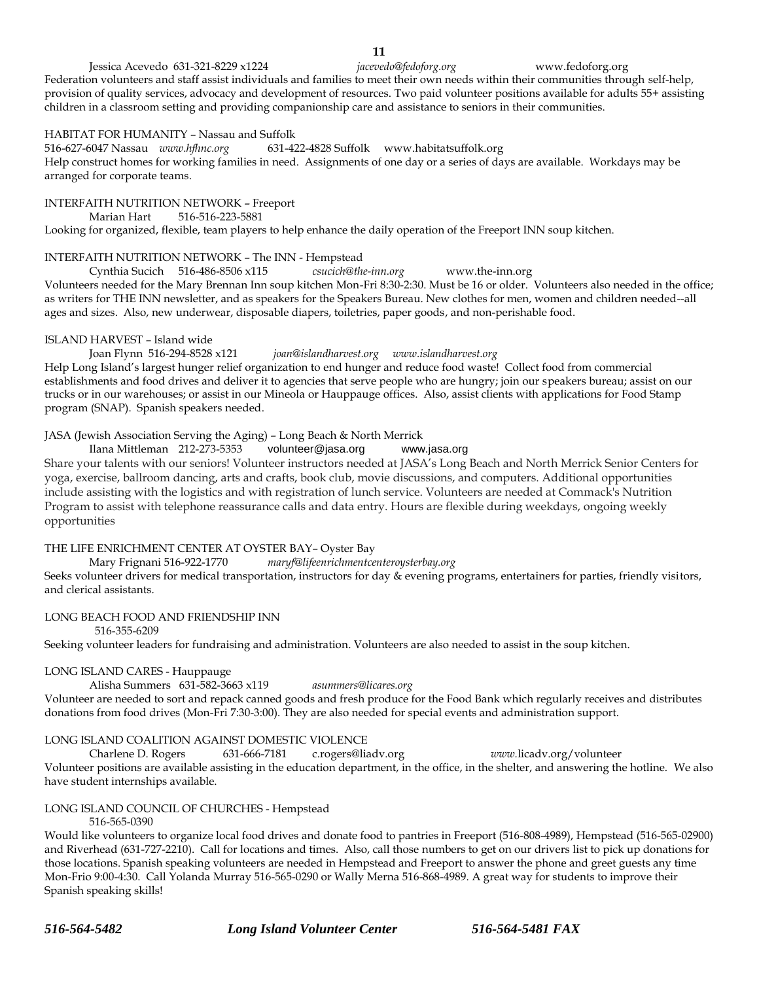**11**<br>jacevedo@fedoforg.org Jessica Acevedo 631-321-8229 x1224 *jacevedo@fedoforg.org* www.fedoforg.org Federation volunteers and staff assist individuals and families to meet their own needs within their communities through self-help, provision of quality services, advocacy and development of resources. Two paid volunteer positions available for adults 55+ assisting children in a classroom setting and providing companionship care and assistance to seniors in their communities.

#### HABITAT FOR HUMANITY – Nassau and Suffolk

516-627-6047 Nassau *www.hfhnc.org* 631-422-4828 Suffolkwww.habitatsuffolk.org Help construct homes for working families in need. Assignments of one day or a series of days are available. Workdays may be arranged for corporate teams.

#### INTERFAITH NUTRITION NETWORK – Freeport

Marian Hart 516-516-223-5881

Looking for organized, flexible, team players to help enhance the daily operation of the Freeport INN soup kitchen.

#### INTERFAITH NUTRITION NETWORK – The INN - Hempstead

Cynthia Sucich 516-486-8506 x115 *csucich@the-inn.org* www.the-inn.org

Volunteers needed for the Mary Brennan Inn soup kitchen Mon-Fri 8:30-2:30. Must be 16 or older. Volunteers also needed in the office; as writers for THE INN newsletter, and as speakers for the Speakers Bureau. New clothes for men, women and children needed--all ages and sizes. Also, new underwear, disposable diapers, toiletries, paper goods, and non-perishable food.

#### ISLAND HARVEST – Island wide

Joan Flynn 516-294-8528 x121 *joan@islandharvest.org www.islandharvest.org*  Help Long Island's largest hunger relief organization to end hunger and reduce food waste! Collect food from commercial establishments and food drives and deliver it to agencies that serve people who are hungry; join our speakers bureau; assist on our trucks or in our warehouses; or assist in our Mineola or Hauppauge offices. Also, assist clients with applications for Food Stamp program (SNAP). Spanish speakers needed.

JASA (Jewish Association Serving the Aging) – Long Beach & North Merrick

Ilana Mittleman 212-273-5353 [volunteer@jasa.org](mailto:volunteer@jasa.org) [www.jasa.org](http://www.jasa.org/) Share your talents with our seniors! Volunteer instructors needed at JASA's Long Beach and North Merrick Senior Centers for yoga, exercise, ballroom dancing, arts and crafts, book club, movie discussions, and computers. Additional opportunities include assisting with the logistics and with registration of lunch service. Volunteers are needed at Commack's Nutrition Program to assist with telephone reassurance calls and data entry. Hours are flexible during weekdays, ongoing weekly opportunities

#### THE LIFE ENRICHMENT CENTER AT OYSTER BAY– Oyster Bay

Mary Frignani 516-922-1770 *maryf@lifeenrichmentcenteroysterbay.org*

Seeks volunteer drivers for medical transportation, instructors for day & evening programs, entertainers for parties, friendly visitors, and clerical assistants.

#### LONG BEACH FOOD AND FRIENDSHIP INN

516-355-6209

Seeking volunteer leaders for fundraising and administration. Volunteers are also needed to assist in the soup kitchen.

## LONG ISLAND CARES - Hauppauge

Alisha Summers 631-582-3663 x119 *asummers@licares.org* Volunteer are needed to sort and repack canned goods and fresh produce for the Food Bank which regularly receives and distributes donations from food drives (Mon-Fri 7:30-3:00). They are also needed for special events and administration support.

#### LONG ISLAND COALITION AGAINST DOMESTIC VIOLENCE

Charlene D. Rogers 631-666-7181 c.rogers@liadv.org *www.*licadv.org/volunteer Volunteer positions are available assisting in the education department, in the office, in the shelter, and answering the hotline. We also have student internships available.

#### LONG ISLAND COUNCIL OF CHURCHES - Hempstead

516-565-0390

Would like volunteers to organize local food drives and donate food to pantries in Freeport (516-808-4989), Hempstead (516-565-02900) and Riverhead (631-727-2210). Call for locations and times. Also, call those numbers to get on our drivers list to pick up donations for those locations. Spanish speaking volunteers are needed in Hempstead and Freeport to answer the phone and greet guests any time Mon-Frio 9:00-4:30. Call Yolanda Murray 516-565-0290 or Wally Merna 516-868-4989. A great way for students to improve their Spanish speaking skills!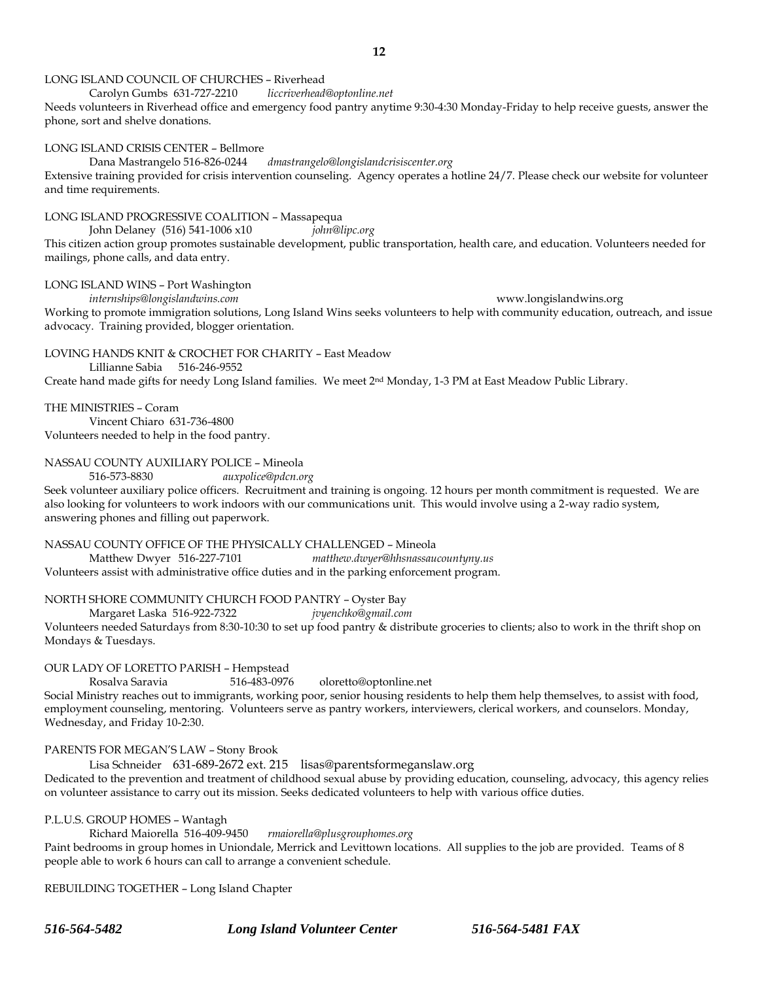## LONG ISLAND COUNCIL OF CHURCHES – Riverhead

Carolyn Gumbs 631-727-2210 *liccriverhead@optonline.net*

Needs volunteers in Riverhead office and emergency food pantry anytime 9:30-4:30 Monday-Friday to help receive guests, answer the phone, sort and shelve donations.

#### LONG ISLAND CRISIS CENTER – Bellmore

Dana Mastrangelo 516-826-0244 *dmastrangelo@longislandcrisiscenter.org*

Extensive training provided for crisis intervention counseling. Agency operates a hotline 24/7. Please check our website for volunteer and time requirements.

LONG ISLAND PROGRESSIVE COALITION – Massapequa

John Delaney (516) 541-1006 x10 *john@lipc.org*

This citizen action group promotes sustainable development, public transportation, health care, and education. Volunteers needed for mailings, phone calls, and data entry.

LONG ISLAND WINS – Port Washington

*internships@longislandwins.com* www.longislandwins.org Working to promote immigration solutions, Long Island Wins seeks volunteers to help with community education, outreach, and issue advocacy. Training provided, blogger orientation.

## LOVING HANDS KNIT & CROCHET FOR CHARITY – East Meadow

Lillianne Sabia 516-246-9552

Create hand made gifts for needy Long Island families. We meet 2nd Monday, 1-3 PM at East Meadow Public Library.

### THE MINISTRIES – Coram

Vincent Chiaro 631-736-4800 Volunteers needed to help in the food pantry.

#### NASSAU COUNTY AUXILIARY POLICE – Mineola

516-573-8830 *auxpolice@pdcn.org*

Seek volunteer auxiliary police officers. Recruitment and training is ongoing. 12 hours per month commitment is requested. We are also looking for volunteers to work indoors with our communications unit. This would involve using a 2-way radio system, answering phones and filling out paperwork.

#### NASSAU COUNTY OFFICE OF THE PHYSICALLY CHALLENGED – Mineola

Matthew Dwyer 516-227-7101 *matthew.dwyer@hhsnassaucountyny.us* Volunteers assist with administrative office duties and in the parking enforcement program.

NORTH SHORE COMMUNITY CHURCH FOOD PANTRY – Oyster Bay

Margaret Laska 516-922-7322 *jvyenchko@gmail.com*

Volunteers needed Saturdays from 8:30-10:30 to set up food pantry & distribute groceries to clients; also to work in the thrift shop on Mondays & Tuesdays.

#### OUR LADY OF LORETTO PARISH – Hempstead

Rosalva Saravia 516-483-0976 oloretto@optonline.net

Social Ministry reaches out to immigrants, working poor, senior housing residents to help them help themselves, to assist with food, employment counseling, mentoring. Volunteers serve as pantry workers, interviewers, clerical workers, and counselors. Monday, Wednesday, and Friday 10-2:30.

#### PARENTS FOR MEGAN'S LAW – Stony Brook

Lisa Schneider 631-689-2672 ext. 215 lisas@parentsformeganslaw.org

Dedicated to the prevention and treatment of childhood sexual abuse by providing education, counseling, advocacy, this agency relies on volunteer assistance to carry out its mission. Seeks dedicated volunteers to help with various office duties.

#### P.L.U.S. GROUP HOMES – Wantagh

Richard Maiorella 516-409-9450 *rmaiorella@plusgrouphomes.org*

Paint bedrooms in group homes in Uniondale, Merrick and Levittown locations. All supplies to the job are provided. Teams of 8 people able to work 6 hours can call to arrange a convenient schedule.

REBUILDING TOGETHER – Long Island Chapter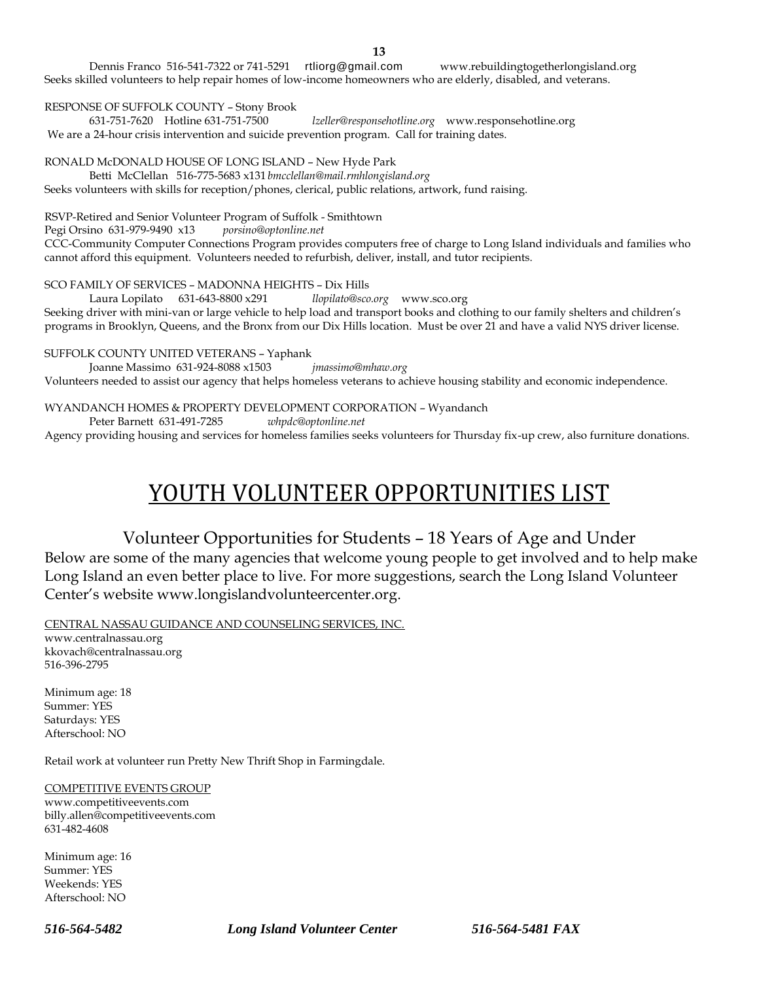Dennis Franco 516-541-7322 or 741-5291 [rtliorg@gmail.com](http://rtliorg@gmail.com/) www.rebuildingtogetherlongisland.org Seeks skilled volunteers to help repair homes of low-income homeowners who are elderly, disabled, and veterans.

### RESPONSE OF SUFFOLK COUNTY – Stony Brook

631-751-7620 Hotline 631-751-7500 *lzeller@responsehotline.org* www.responsehotline.org We are a 24-hour crisis intervention and suicide prevention program. Call for training dates.

RONALD McDONALD HOUSE OF LONG ISLAND – New Hyde Park

Betti McClellan 516-775-5683 x131 *bmcclellan@mail.rmhlongisland.org* Seeks volunteers with skills for reception/phones, clerical, public relations, artwork, fund raising.

RSVP-Retired and Senior Volunteer Program of Suffolk - Smithtown<br>Pegi Orsino 631-979-9490 x13 porsino@optonline.net

Pegi Orsino 631-979-9490 x13

CCC-Community Computer Connections Program provides computers free of charge to Long Island individuals and families who cannot afford this equipment. Volunteers needed to refurbish, deliver, install, and tutor recipients.

SCO FAMILY OF SERVICES – MADONNA HEIGHTS – Dix Hills

Laura Lopilato 631-643-8800 x291 *llopilato@sco.org* www.sco.org Seeking driver with mini-van or large vehicle to help load and transport books and clothing to our family shelters and children's programs in Brooklyn, Queens, and the Bronx from our Dix Hills location. Must be over 21 and have a valid NYS driver license.

SUFFOLK COUNTY UNITED VETERANS – Yaphank

Joanne Massimo 631-924-8088 x1503 *jmassimo@mhaw.org*

Volunteers needed to assist our agency that helps homeless veterans to achieve housing stability and economic independence.

WYANDANCH HOMES & PROPERTY DEVELOPMENT CORPORATION – Wyandanch

Peter Barnett 631-491-7285 *whpdc@optonline.net*

Agency providing housing and services for homeless families seeks volunteers for Thursday fix-up crew, also furniture donations.

# YOUTH VOLUNTEER OPPORTUNITIES LIST

## Volunteer Opportunities for Students – 18 Years of Age and Under

Below are some of the many agencies that welcome young people to get involved and to help make Long Island an even better place to live. For more suggestions, search the Long Island Volunteer Center's website www.longislandvolunteercenter.org.

CENTRAL NASSAU GUIDANCE AND COUNSELING SERVICES, INC.

www.centralnassau.org kkovach@centralnassau.org 516-396-2795

Minimum age: 18 Summer: YES Saturdays: YES Afterschool: NO

Retail work at volunteer run Pretty New Thrift Shop in Farmingdale.

#### COMPETITIVE EVENTS GROUP

www.competitiveevents.com billy.allen@competitiveevents.com 631-482-4608

Minimum age: 16 Summer: YES Weekends: YES Afterschool: NO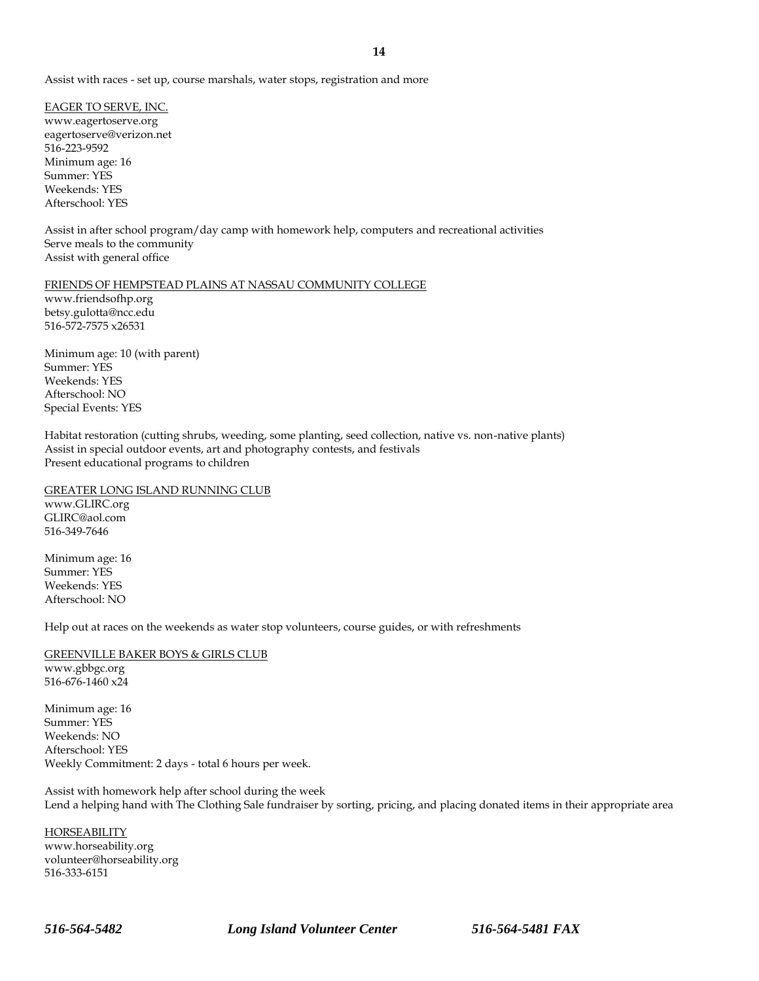EAGER TO SERVE, INC. www.eagertoserve.org eagertoserve@verizon.net 516-223-9592 Minimum age: 16 Summer: YES Weekends: YES Afterschool: YES

Assist in after school program/day camp with homework help, computers and recreational activities Serve meals to the community Assist with general office

#### FRIENDS OF HEMPSTEAD PLAINS AT NASSAU COMMUNITY COLLEGE

www.friendsofhp.org betsy.gulotta@ncc.edu 516-572-7575 x26531

Minimum age: 10 (with parent) Summer: YES Weekends: YES Afterschool: NO Special Events: YES

Habitat restoration (cutting shrubs, weeding, some planting, seed collection, native vs. non-native plants) Assist in special outdoor events, art and photography contests, and festivals Present educational programs to children

GREATER LONG ISLAND RUNNING CLUB

www.GLIRC.org GLIRC@aol.com 516-349-7646

Minimum age: 16 Summer: YES Weekends: YES Afterschool: NO

Help out at races on the weekends as water stop volunteers, course guides, or with refreshments

## GREENVILLE BAKER BOYS & GIRLS CLUB

www.gbbgc.org 516-676-1460 x24

Minimum age: 16 Summer: YES Weekends: NO Afterschool: YES Weekly Commitment: 2 days - total 6 hours per week.

Assist with homework help after school during the week Lend a helping hand with The Clothing Sale fundraiser by sorting, pricing, and placing donated items in their appropriate area

**HORSEABILITY** www.horseability.org volunteer@horseability.org 516-333-6151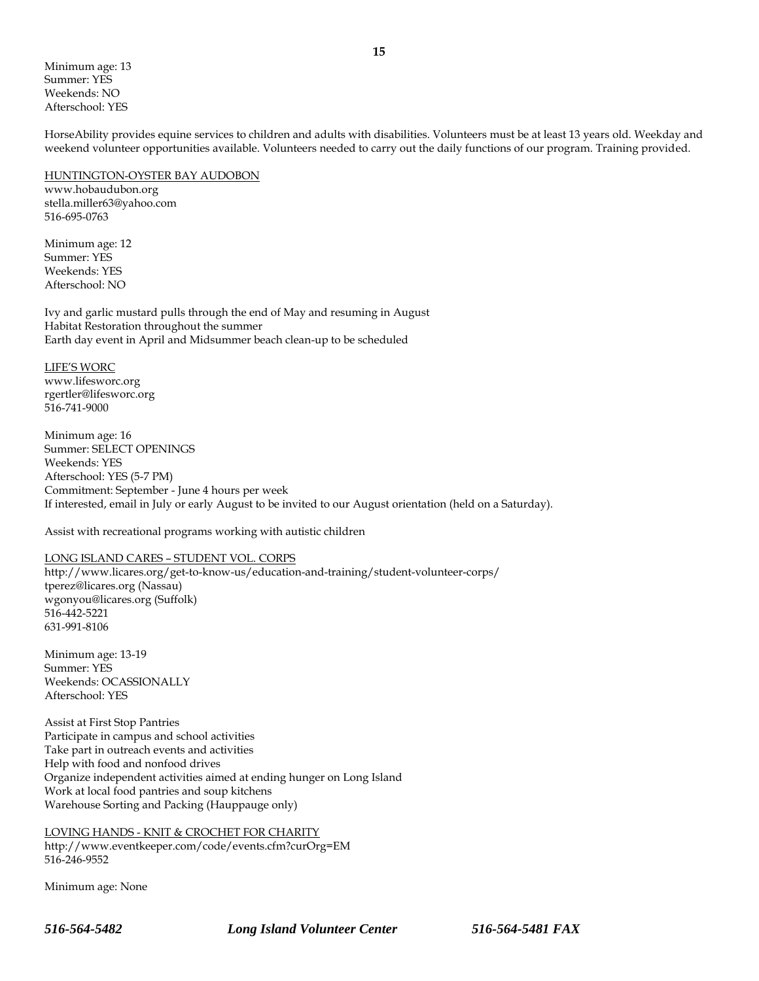Minimum age: 13 Summer: YES Weekends: NO Afterschool: YES

HorseAbility provides equine services to children and adults with disabilities. Volunteers must be at least 13 years old. Weekday and weekend volunteer opportunities available. Volunteers needed to carry out the daily functions of our program. Training provided.

## HUNTINGTON-OYSTER BAY AUDOBON

www.hobaudubon.org stella.miller63@yahoo.com 516-695-0763

Minimum age: 12 Summer: YES Weekends: YES Afterschool: NO

Ivy and garlic mustard pulls through the end of May and resuming in August Habitat Restoration throughout the summer Earth day event in April and Midsummer beach clean-up to be scheduled

#### LIFE'S WORC

www.lifesworc.org rgertler@lifesworc.org 516-741-9000

Minimum age: 16 Summer: SELECT OPENINGS Weekends: YES Afterschool: YES (5-7 PM) Commitment: September - June 4 hours per week If interested, email in July or early August to be invited to our August orientation (held on a Saturday).

Assist with recreational programs working with autistic children

## LONG ISLAND CARES – STUDENT VOL. CORPS

http://www.licares.org/get-to-know-us/education-and-training/student-volunteer-corps/ tperez@licares.org (Nassau) wgonyou@licares.org (Suffolk) 516-442-5221 631-991-8106

Minimum age: 13-19 Summer: YES Weekends: OCASSIONALLY Afterschool: YES

Assist at First Stop Pantries Participate in campus and school activities Take part in outreach events and activities Help with food and nonfood drives Organize independent activities aimed at ending hunger on Long Island Work at local food pantries and soup kitchens Warehouse Sorting and Packing (Hauppauge only)

LOVING HANDS - KNIT & CROCHET FOR CHARITY http://www.eventkeeper.com/code/events.cfm?curOrg=EM 516-246-9552

Minimum age: None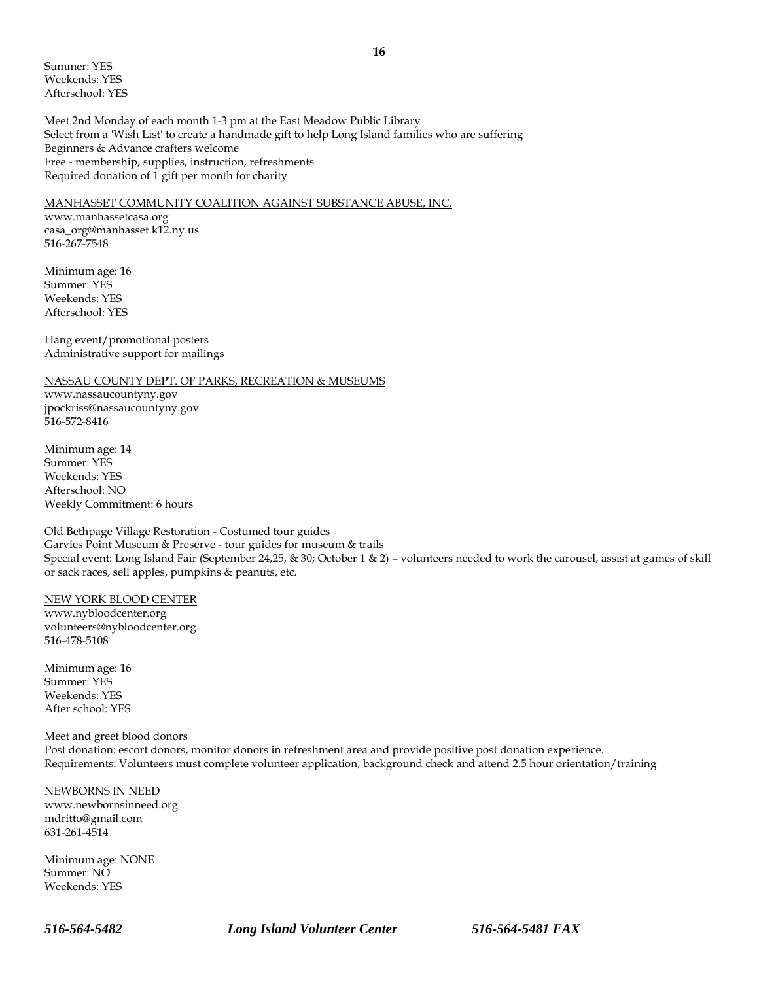Summer: YES Weekends: YES Afterschool: YES

Meet 2nd Monday of each month 1-3 pm at the East Meadow Public Library Select from a 'Wish List' to create a handmade gift to help Long Island families who are suffering Beginners & Advance crafters welcome Free - membership, supplies, instruction, refreshments Required donation of 1 gift per month for charity

#### MANHASSET COMMUNITY COALITION AGAINST SUBSTANCE ABUSE, INC.

www.manhassetcasa.org casa\_org@manhasset.k12.ny.us 516-267-7548

Minimum age: 16 Summer: YES Weekends: YES Afterschool: YES

Hang event/promotional posters Administrative support for mailings

#### NASSAU COUNTY DEPT. OF PARKS, RECREATION & MUSEUMS

www.nassaucountyny.gov jpockriss@nassaucountyny.gov 516-572-8416

Minimum age: 14 Summer: YES Weekends: YES Afterschool: NO Weekly Commitment: 6 hours

Old Bethpage Village Restoration - Costumed tour guides Garvies Point Museum & Preserve - tour guides for museum & trails Special event: Long Island Fair (September 24,25, & 30; October 1 & 2) – volunteers needed to work the carousel, assist at games of skill or sack races, sell apples, pumpkins & peanuts, etc.

#### NEW YORK BLOOD CENTER

www.nybloodcenter.org volunteers@nybloodcenter.org 516-478-5108

Minimum age: 16 Summer: YES Weekends: YES After school: YES

Meet and greet blood donors Post donation: escort donors, monitor donors in refreshment area and provide positive post donation experience. Requirements: Volunteers must complete volunteer application, background check and attend 2.5 hour orientation/training

NEWBORNS IN NEED www.newbornsinneed.org mdritto@gmail.com 631-261-4514

Minimum age: NONE Summer: NO Weekends: YES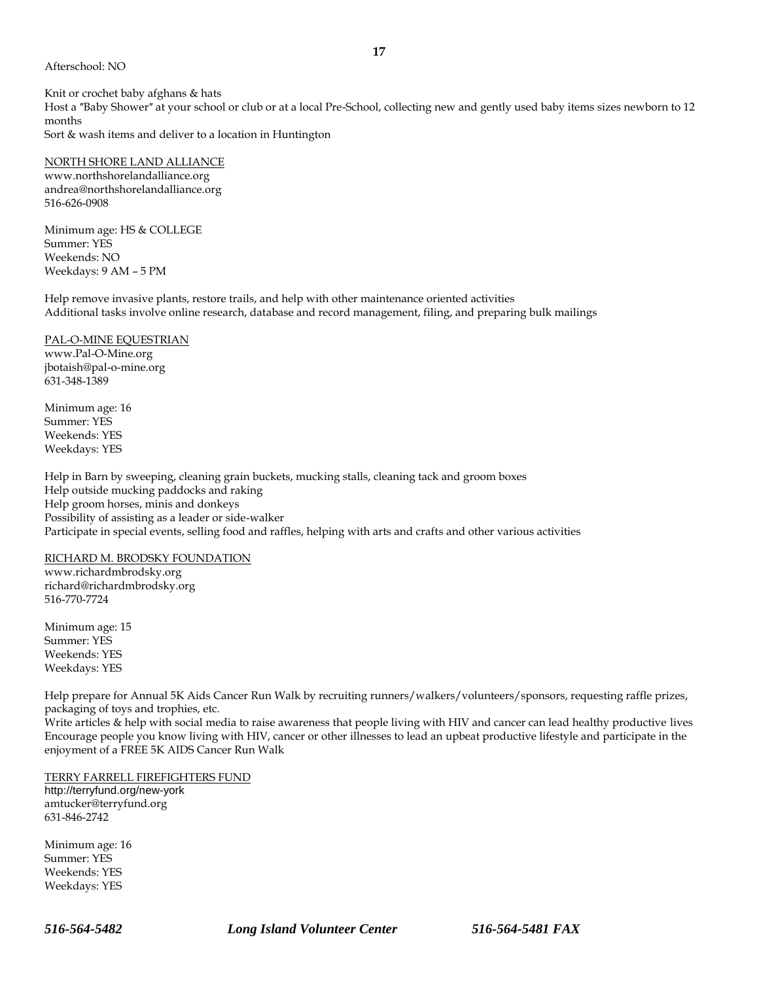#### Afterschool: NO

Knit or crochet baby afghans & hats Host a "Baby Shower" at your school or club or at a local Pre-School, collecting new and gently used baby items sizes newborn to 12 months Sort & wash items and deliver to a location in Huntington

#### NORTH SHORE LAND ALLIANCE

www.northshorelandalliance.org andrea@northshorelandalliance.org 516-626-0908

Minimum age: HS & COLLEGE Summer: YES Weekends: NO Weekdays: 9 AM – 5 PM

Help remove invasive plants, restore trails, and help with other maintenance oriented activities Additional tasks involve online research, database and record management, filing, and preparing bulk mailings

#### PAL-O-MINE EQUESTRIAN

www.Pal-O-Mine.org jbotaish@pal-o-mine.org 631-348-1389

Minimum age: 16 Summer: YES Weekends: YES Weekdays: YES

Help in Barn by sweeping, cleaning grain buckets, mucking stalls, cleaning tack and groom boxes Help outside mucking paddocks and raking Help groom horses, minis and donkeys Possibility of assisting as a leader or side-walker Participate in special events, selling food and raffles, helping with arts and crafts and other various activities

#### RICHARD M. BRODSKY FOUNDATION

www.richardmbrodsky.org richard@richardmbrodsky.org 516-770-7724

Minimum age: 15 Summer: YES Weekends: YES Weekdays: YES

Help prepare for Annual 5K Aids Cancer Run Walk by recruiting runners/walkers/volunteers/sponsors, requesting raffle prizes, packaging of toys and trophies, etc.

Write articles & help with social media to raise awareness that people living with HIV and cancer can lead healthy productive lives Encourage people you know living with HIV, cancer or other illnesses to lead an upbeat productive lifestyle and participate in the enjoyment of a FREE 5K AIDS Cancer Run Walk

#### TERRY FARRELL FIREFIGHTERS FUND

http://terryfund.org/new-york amtucker@terryfund.org 631-846-2742

Minimum age: 16 Summer: YES Weekends: YES Weekdays: YES

**17**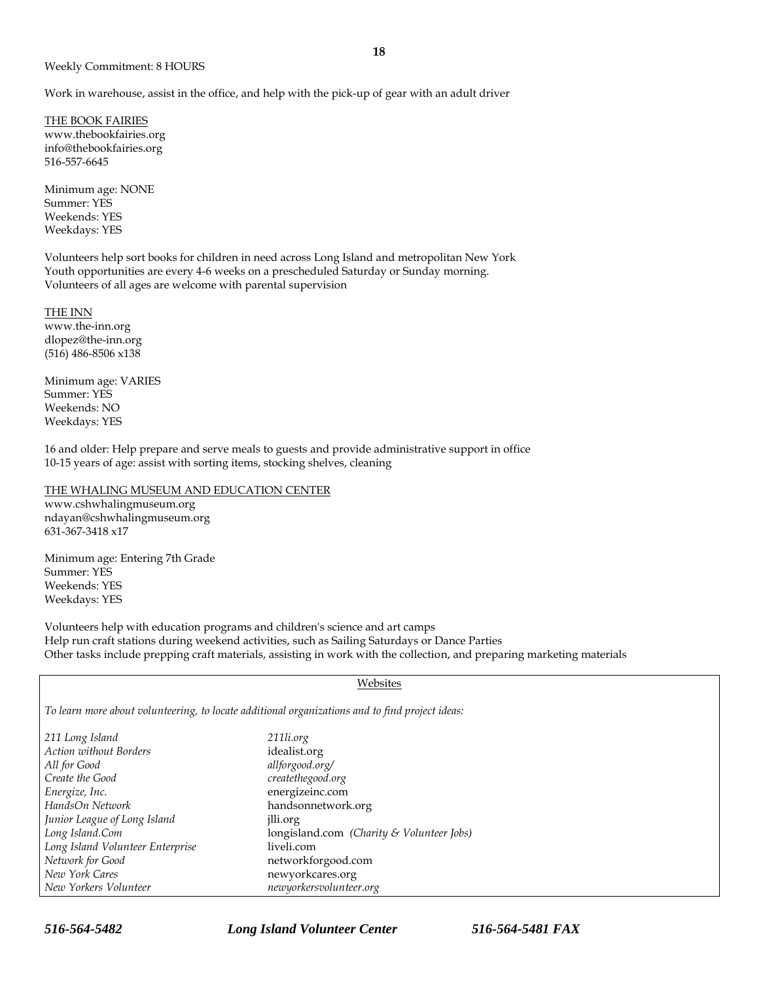Work in warehouse, assist in the office, and help with the pick-up of gear with an adult driver

THE BOOK FAIRIES www.thebookfairies.org info@thebookfairies.org 516-557-6645

Minimum age: NONE Summer: YES Weekends: YES Weekdays: YES

Volunteers help sort books for children in need across Long Island and metropolitan New York Youth opportunities are every 4-6 weeks on a prescheduled Saturday or Sunday morning. Volunteers of all ages are welcome with parental supervision

THE INN

www.the-inn.org dlopez@the-inn.org (516) 486-8506 x138

Minimum age: VARIES Summer: YES Weekends: NO Weekdays: YES

16 and older: Help prepare and serve meals to guests and provide administrative support in office 10-15 years of age: assist with sorting items, stocking shelves, cleaning

THE WHALING MUSEUM AND EDUCATION CENTER

www.cshwhalingmuseum.org ndayan@cshwhalingmuseum.org 631-367-3418 x17

Minimum age: Entering 7th Grade Summer: YES Weekends: YES Weekdays: YES

Volunteers help with education programs and children's science and art camps Help run craft stations during weekend activities, such as Sailing Saturdays or Dance Parties Other tasks include prepping craft materials, assisting in work with the collection, and preparing marketing materials

#### Websites

*To learn more about volunteering, to locate additional organizations and to find project ideas:* 

| 211 Long Island                  | 211li.org                                 |
|----------------------------------|-------------------------------------------|
| Action without Borders           | idealist.org                              |
| All for Good                     | allforgood.org/                           |
| Create the Good                  | createthegood.org                         |
| Energize, Inc.                   | energizeinc.com                           |
| HandsOn Network                  | handsonnetwork.org                        |
| Junior League of Long Island     | jlli.org                                  |
| Long Island.Com                  | longisland.com (Charity & Volunteer Jobs) |
| Long Island Volunteer Enterprise | liveli.com                                |
| Network for Good                 | networkforgood.com                        |
| New York Cares                   | newyorkcares.org                          |
| New Yorkers Volunteer            | newyorkersvolunteer.org                   |